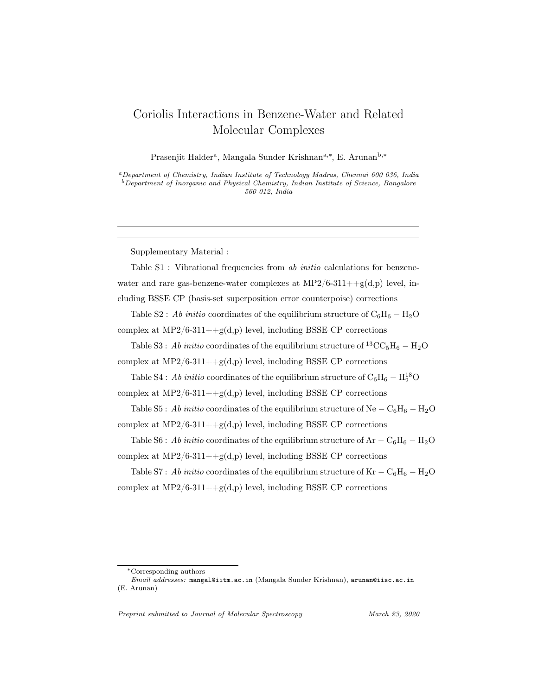## Coriolis Interactions in Benzene-Water and Related Molecular Complexes

Prasenjit Halder<sup>a</sup>, Mangala Sunder Krishnan<sup>a,∗</sup>, E. Arunan<sup>b,∗</sup>

<sup>a</sup>Department of Chemistry, Indian Institute of Technology Madras, Chennai 600 036, India  $b$  Department of Inorganic and Physical Chemistry, Indian Institute of Science, Bangalore 560 012, India

Supplementary Material :

Table S1 : Vibrational frequencies from ab *initio* calculations for benzenewater and rare gas-benzene-water complexes at  $MP2/6-311++g(d,p)$  level, including BSSE CP (basis-set superposition error counterpoise) corrections

Table S2 : Ab initio coordinates of the equilibrium structure of  $C_6H_6 - H_2O$ complex at  $MP2/6-311++g(d,p)$  level, including BSSE CP corrections

Table S3 : Ab initio coordinates of the equilibrium structure of <sup>13</sup>CC<sub>5</sub>H<sub>6</sub> – H<sub>2</sub>O complex at  $MP2/6-311++g(d,p)$  level, including BSSE CP corrections

Table S4 : Ab initio coordinates of the equilibrium structure of  $\mathrm{C_6H_6}-\mathrm{H}_2^{18}\mathrm{O}$ complex at  $MP2/6-311++g(d,p)$  level, including BSSE CP corrections

Table S5 : Ab initio coordinates of the equilibrium structure of Ne –  $C_6H_6 - H_2O$ complex at  $MP2/6-311++g(d,p)$  level, including BSSE CP corrections

Table S6 : Ab initio coordinates of the equilibrium structure of Ar –  $\rm C_6H_6 - H_2O$ complex at  $MP2/6-311++g(d,p)$  level, including BSSE CP corrections

Table S7 : Ab initio coordinates of the equilibrium structure of Kr –  $C_6H_6 - H_2O$ complex at  $MP2/6-311++g(d,p)$  level, including BSSE CP corrections

Preprint submitted to Journal of Molecular Spectroscopy March 23, 2020

<sup>∗</sup>Corresponding authors

Email addresses: mangal@iitm.ac.in (Mangala Sunder Krishnan), arunan@iisc.ac.in (E. Arunan)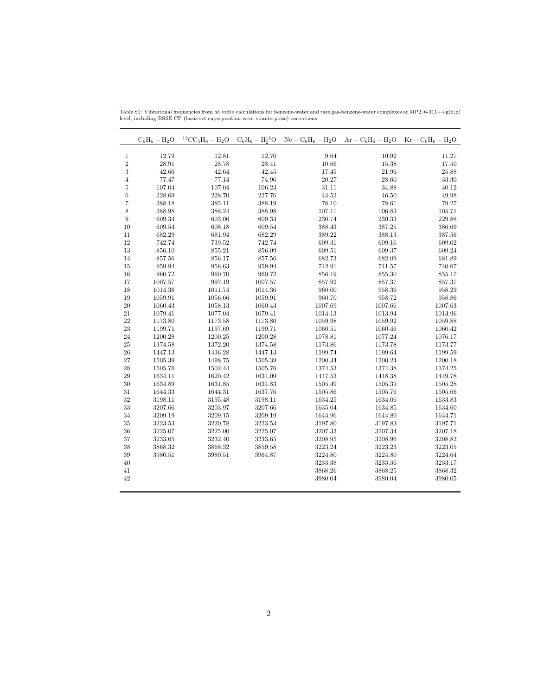|                           |                |                |                | $C_6H_6 - H_2O$ ${}^{13}CC_5H_6 - H_2O$ $C_6H_6 - H_2^{18}O$ $Ne - C_6H_6 - H_2O$ $Ar - C_6H_6 - H_2O$ $Kr - C_6H_6 - H_2O$ |                |                |
|---------------------------|----------------|----------------|----------------|-----------------------------------------------------------------------------------------------------------------------------|----------------|----------------|
|                           |                |                |                | 9.64                                                                                                                        | 10.92          |                |
| $\mathbf{1}$              | 12.79          | 12.81          | 12.70          |                                                                                                                             |                | 11.27          |
| $\frac{2}{3}$             | 28.91<br>42.66 | 28.78<br>42.64 | 28.41<br>42.45 | 10.66<br>17.45                                                                                                              | 15.38<br>21.96 | 17.50<br>25.88 |
| $\overline{4}$            | 77.47          | 77.14          | 74.96          | 20.27                                                                                                                       | 28.60          | 33.30          |
|                           | 107.04         | 107.04         | 106.23         |                                                                                                                             | 34.88          | 40.12          |
| $\bf 5$<br>$\overline{6}$ | 228.69         | 228.70         | 227.76         | 31.11<br>44.52                                                                                                              | 46.50          | 49.98          |
| $\scriptstyle{7}$         | 388.18         | 385.11         | 388.19         | 78.10                                                                                                                       | 78.61          | 79.27          |
| 8                         | 388.98         | 388.24         | 388.98         | 107.11                                                                                                                      | 106.83         | 105.71         |
| $\boldsymbol{9}$          | 609.34         | 603.06         | 609.34         | 230.74                                                                                                                      | 230.33         | 229.88         |
| 10                        | 609.54         | 608.18         | 609.54         | 388.43                                                                                                                      | 387.25         | 386.69         |
| 11                        | 682.29         | 681.94         | 682.29         | 389.22                                                                                                                      | 388.13         | 387.56         |
| 12                        | 742.74         | 739.52         | 742.74         | 609.31                                                                                                                      | 609.16         | 609.02         |
| 13                        | 856.10         | $855.21\,$     | 856.09         | 609.51                                                                                                                      | 609.37         | 609.24         |
| $14\,$                    | 857.56         | 856.17         | 857.56         | 682.73                                                                                                                      | 682.09         | 681.89         |
| 15                        | 959.94         | 956.63         | 959.94         | 742.91                                                                                                                      | 741.57         | 740.67         |
| 16                        | 960.72         | 960.70         | 960.72         | 856.19                                                                                                                      | 855.30         | 855.17         |
| 17                        | 1007.57        | 997.19         | 1007.57        | 857.92                                                                                                                      | 857.37         | 857.37         |
| 18                        | 1014.36        | 1011.74        | 1014.36        | 960.00                                                                                                                      | 958.36         | 958.29         |
| 19                        | 1059.91        | 1056.66        | 1059.91        | 960.70                                                                                                                      | 958.72         | 958.86         |
| $20\,$                    | 1060.43        | 1058.13        | 1060.43        | 1007.69                                                                                                                     | 1007.66        | 1007.63        |
| 21                        | 1079.41        | 1077.04        | 1079.41        | 1014.13                                                                                                                     | 1013.94        | 1013.96        |
| 22                        | 1173.80        | 1173.58        | 1173.80        | 1059.98                                                                                                                     | 1059.92        | 1059.88        |
| $\bf 23$                  | 1199.71        | 1197.69        | 1199.71        | 1060.51                                                                                                                     | 1060.46        | 1060.42        |
| 24                        | 1200.28        | 1200.25        | 1200.28        | 1078.81                                                                                                                     | 1077.24        | 1076.17        |
| $25\,$                    | 1374.58        | 1372.20        | 1374.58        | 1173.86                                                                                                                     | 1173.78        | 1173.77        |
| 26                        | 1447.13        | 1436.28        | 1447.13        | 1199.74                                                                                                                     | 1199.64        | 1199.59        |
| $27\,$                    | 1505.39        | 1498.75        | 1505.39        | 1200.34                                                                                                                     | 1200.24        | 1200.18        |
| 28                        | 1505.76        | 1502.44        | 1505.76        | 1374.53                                                                                                                     | 1374.38        | 1374.25        |
| 29                        | 1634.11        | 1620.42        | 1634.09        | 1447.53                                                                                                                     | 1448.38        | 1449.78        |
| 30                        | 1634.89        | 1631.85        | 1634.83        | 1505.49                                                                                                                     | 1505.39        | 1505.28        |
| 31                        | 1644.33        | 1644.31        | 1637.76        | 1505.86                                                                                                                     | 1505.76        | 1505.66        |
| 32                        | 3198.11        | 3195.48        | 3198.11        | 1634.25                                                                                                                     | 1634.06        | 1633.83        |
| 33                        | 3207.66        | 3203.97        | 3207.66        | 1635.04                                                                                                                     | 1634.85        | 1634.60        |
| 34                        | 3209.19        | 3209.15        | 3209.19        | 1644.96                                                                                                                     | 1644.80        | 1644.71        |
| 35                        | 3223.53        | 3220.78        | 3223.53        | 3197.80                                                                                                                     | 3197.83        | 3197.71        |
| $36\,$                    | 3225.07        | 3225.00        | 3225.07        | 3207.33                                                                                                                     | 3207.34        | 3207.18        |
| 37                        | 3233.65        | 3232.40        | 3233.65        | 3208.95                                                                                                                     | 3208.96        | 3208.82        |
| $38\,$                    | 3868.32        | 3868.32        | 3859.58        | 3223.24                                                                                                                     | 3223.23        | 3223.05        |
| 39                        | 3980.51        | 3980.51        | 3964.87        | 3224.80                                                                                                                     | 3224.80        | 3224.64        |
| 40                        |                |                |                | 3233.38                                                                                                                     | 3233.36        | 3233.17        |
| 41                        |                |                |                | 3868.26                                                                                                                     | 3868.25        | 3868.32        |
| 42                        |                |                |                | 3980.04                                                                                                                     | 3980.04        | 3980.05        |
|                           |                |                |                |                                                                                                                             |                |                |

Table S1: Vibrational frequencies from *ab initio* calculations for benzene-water and rare gas-benzene-water complexes at MP2/6-311++g(d,p)<br>level, including BSSE CP (basis-set superposition error counterpoise) corrections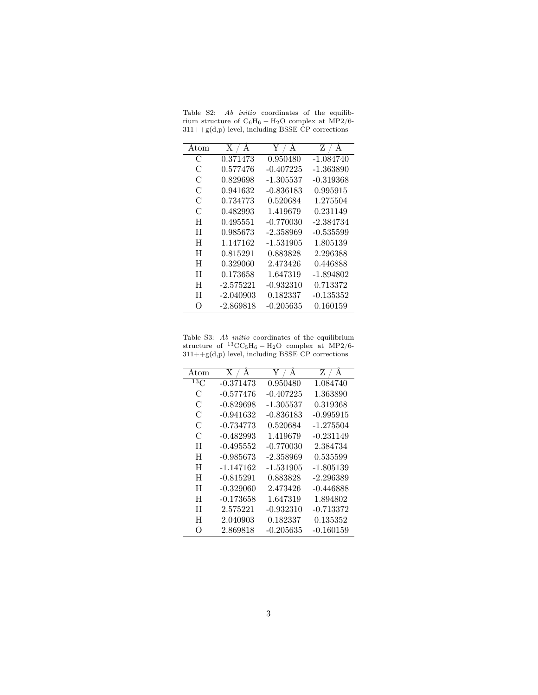|  |  | Table S2: Ab <i>initio</i> coordinates of the equilib- |  |  |
|--|--|--------------------------------------------------------|--|--|
|  |  | rium structure of $C_6H_6 - H_2O$ complex at MP2/6-    |  |  |
|  |  | $311 + g(d,p)$ level, including BSSE CP corrections    |  |  |

| Atom             | X / A       | A<br>Y /    | Z / A       |
|------------------|-------------|-------------|-------------|
| С                | 0.371473    | 0.950480    | -1.084740   |
| С                | 0.577476    | $-0.407225$ | $-1.363890$ |
| C                | 0.829698    | -1.305537   | -0.319368   |
| С                | 0.941632    | -0.836183   | 0.995915    |
| C                | 0.734773    | 0.520684    | 1.275504    |
| C                | 0.482993    | 1.419679    | 0.231149    |
| H                | 0.495551    | -0.770030   | -2.384734   |
| H                | 0.985673    | -2.358969   | -0.535599   |
| H                | 1.147162    | -1.531905   | 1.805139    |
| H                | 0.815291    | 0.883828    | 2.296388    |
| H                | 0.329060    | 2.473426    | 0.446888    |
| H                | 0.173658    | 1.647319    | -1.894802   |
| H                | $-2.575221$ | -0.932310   | 0.713372    |
| Η                | $-2.040903$ | 0.182337    | -0.135352   |
| $\left( \right)$ | $-2.869818$ | -0.205635   | 0.160159    |
|                  |             |             |             |

Table S3: *Ab initio* coordinates of the equilibrium<br>structure of  ${}^{13}$ CC<sub>5</sub>H<sub>6</sub> – H<sub>2</sub>O complex at MP2/6-311++g(d,p) level, including BSSE CP corrections

| Atom            | X / A       | Y<br>А      | A<br>$Z$ /  |
|-----------------|-------------|-------------|-------------|
| 13 <sub>C</sub> | $-0.371473$ | 0.950480    | 1.084740    |
| С               | -0.577476   | -0.407225   | 1.363890    |
| C               | $-0.829698$ | -1.305537   | 0.319368    |
| С               | $-0.941632$ | $-0.836183$ | $-0.995915$ |
| C               | $-0.734773$ | 0.520684    | $-1.275504$ |
| C               | $-0.482993$ | 1.419679    | $-0.231149$ |
| H               | $-0.495552$ | $-0.770030$ | 2.384734    |
| H               | $-0.985673$ | $-2.358969$ | 0.535599    |
| H               | -1.147162   | -1.531905   | -1.805139   |
| H               | $-0.815291$ | 0.883828    | $-2.296389$ |
| H               | $-0.329060$ | 2.473426    | $-0.446888$ |
| H               | $-0.173658$ | 1.647319    | 1.894802    |
| H               | 2.575221    | $-0.932310$ | $-0.713372$ |
| H               | 2.040903    | 0.182337    | 0.135352    |
| $\bigcirc$      | 2.869818    | $-0.205635$ | $-0.160159$ |
|                 |             |             |             |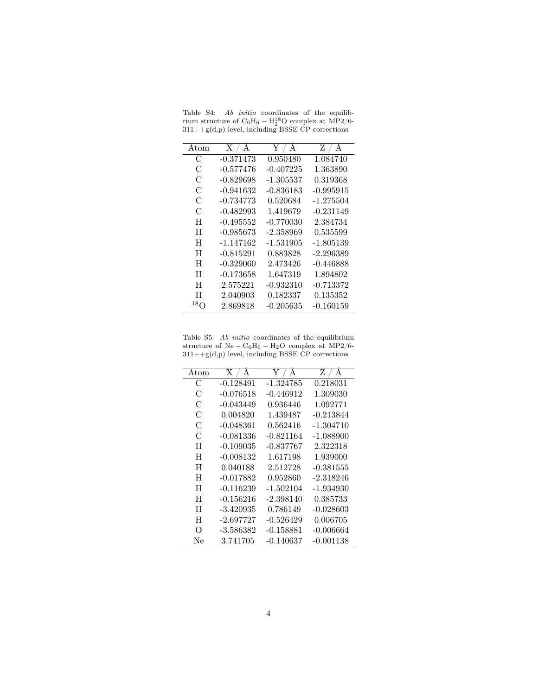Table S4: Ab initio coordinates of the equilibrium structure of  $C_6H_6 - H_2^{18}O$  complex at MP2/6-311++g(d,p) level, including BSSE CP corrections

| Atom       | X / A       | $\rm Y$ / $\rm A$ | Z / A       |
|------------|-------------|-------------------|-------------|
| С          | $-0.371473$ | 0.950480          | 1.084740    |
| С          | $-0.577476$ | $-0.407225$       | 1.363890    |
| С          | $-0.829698$ | -1.305537         | 0.319368    |
| С          | $-0.941632$ | $-0.836183$       | $-0.995915$ |
| С          | $-0.734773$ | 0.520684          | $-1.275504$ |
| C          | $-0.482993$ | 1.419679          | $-0.231149$ |
| H          | $-0.495552$ | $-0.770030$       | 2.384734    |
| H          | $-0.985673$ | $-2.358969$       | 0.535599    |
| H          | -1.147162   | $-1.531905$       | $-1.805139$ |
| H          | $-0.815291$ | 0.883828          | $-2.296389$ |
| H          | $-0.329060$ | 2.473426          | $-0.446888$ |
| H          | $-0.173658$ | 1.647319          | 1.894802    |
| H          | 2.575221    | -0.932310         | $-0.713372$ |
| H          | 2.040903    | 0.182337          | 0.135352    |
| $^{18}$ () | 2.869818    | -0.205635         | -0.160159   |

Table S5: Ab initio coordinates of the equilibrium structure of  $\mathrm{Ne-C_6H_6-H_2O}$  complex at MP2/6- $311+\mbox{}+\textrm{}g(\textrm{d,p})$  level, including BSSE CP corrections

| Atom       | X / A       | $\rm Y$ / $\rm \AA$ | $\rm{Z}$ / $\rm{\AA}$ |
|------------|-------------|---------------------|-----------------------|
| C          | $-0.128491$ | -1.324785           | 0.218031              |
| С          | -0.076518   | $-0.446912$         | 1.309030              |
| С          | -0.043449   | 0.936446            | 1.092771              |
| С          | 0.004820    | 1.439487            | $-0.213844$           |
| C          | -0.048361   | 0.562416            | $-1.304710$           |
| C          | -0.081336   | $-0.821164$         | $-1.088900$           |
| H          | $-0.109035$ | $-0.837767$         | 2.322318              |
| H          | $-0.008132$ | 1.617198            | 1.939000              |
| H          | 0.040188    | 2.512728            | $-0.381555$           |
| H          | $-0.017882$ | 0.952860            | $-2.318246$           |
| H          | $-0.116239$ | $-1.502104$         | -1.934930             |
| H          | -0.156216   | $-2.398140$         | 0.385733              |
| H          | -3.420935   | 0.786149            | $-0.028603$           |
| H          | $-2.697727$ | $-0.526429$         | 0.006705              |
| $\bigcirc$ | -3.586382   | $-0.158881$         | $-0.006664$           |
| Ne         | 3.741705    | -0.140637           | -0.001138             |